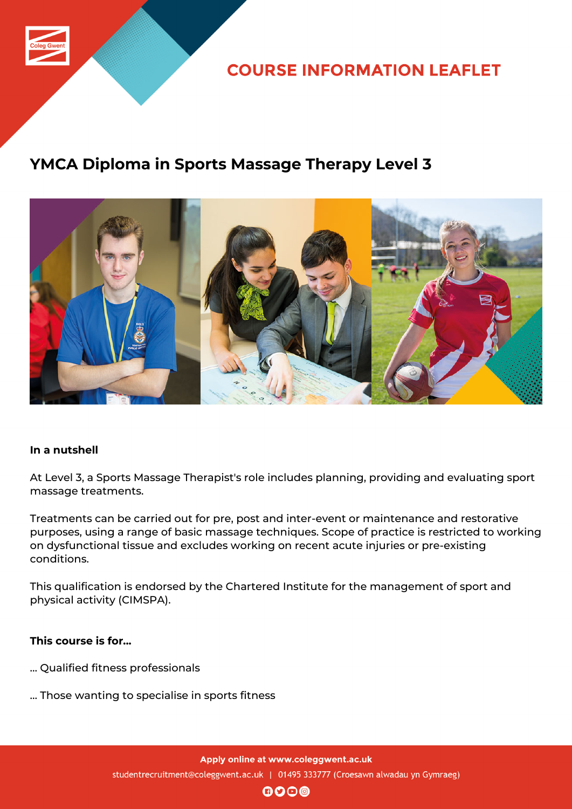

**COURSE INFORMATION LEAFLET** 

## **YMCA Diploma in Sports Massage Therapy Level 3**



### **In a nutshell**

At Level 3, a Sports Massage Therapist's role includes planning, providing and evaluating sport massage treatments.

Treatments can be carried out for pre, post and inter-event or maintenance and restorative purposes, using a range of basic massage techniques. Scope of practice is restricted to working on dysfunctional tissue and excludes working on recent acute injuries or pre-existing conditions.

This qualification is endorsed by the Chartered Institute for the management of sport and physical activity (CIMSPA).

### **This course is for...**

- … Qualified fitness professionals
- … Those wanting to specialise in sports fitness